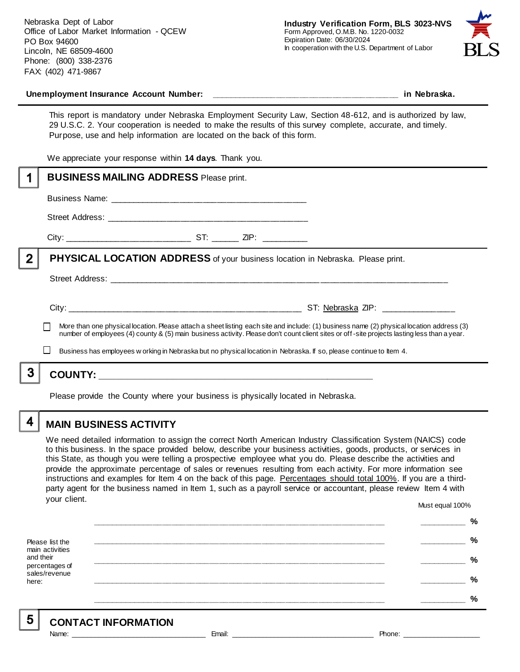Nebraska Dept of Labor Office of Labor Market Information - QCEW PO Box 94600 Lincoln, NE 68509-4600 Phone: (800) 338-2376 FAX: (402) 471-9867



#### Unemployment Insurance Account Number: **with a set of the set of the set of the set of the set of the set of the set of the set of the set of the set of the set of the set of the set of the set of the set of the set of the**

This report is mandatory under Nebraska Employment Security Law, Section 48-612, and is authorized by law, 29 U.S.C. 2. Your cooperation is needed to make the results of this survey complete, accurate, and timely. Purpose, use and help information are located on the back of this form.

We appreciate your response within **14 days**. Thank you.

|   | <b>BUSINESS MAILING ADDRESS Please print.</b>                                                                                                                                                                                                                                            |
|---|------------------------------------------------------------------------------------------------------------------------------------------------------------------------------------------------------------------------------------------------------------------------------------------|
|   |                                                                                                                                                                                                                                                                                          |
|   |                                                                                                                                                                                                                                                                                          |
|   |                                                                                                                                                                                                                                                                                          |
| 2 | <b>PHYSICAL LOCATION ADDRESS</b> of your business location in Nebraska. Please print.                                                                                                                                                                                                    |
|   |                                                                                                                                                                                                                                                                                          |
|   | ST: Nebraska ZIP: _______________                                                                                                                                                                                                                                                        |
|   | More than one physical location. Please attach a sheet listing each site and include: (1) business name (2) physical location address (3)<br>number of employees (4) county & (5) main business activity. Please don't count client sites or off-site projects lasting less than a year. |
|   | Business has employees w orking in Nebraska but no physical location in Nebraska. If so, please continue to Item 4.                                                                                                                                                                      |
| 3 |                                                                                                                                                                                                                                                                                          |
|   |                                                                                                                                                                                                                                                                                          |

Please provide the County where your business is physically located in Nebraska.

4

# **MAIN BUSINESS ACTIVITY**

We need detailed information to assign the correct North American Industry Classification System (NAICS) code to this business. In the space provided below, describe your business activities, goods, products, or services in this State, as though you were telling a prospective employee what you do. Please describe the activities and provide the approximate percentage of sales or revenues resulting from each activity. For more information see instructions and examples for Item 4 on the back of this page. Percentages should total 100%. If you are a thirdparty agent for the business named in Item 1, such as a payroll service or accountant, please review Item 4 with your client. Must equal 100%

Please list the main activities and their percentages of sales/revenue here: **\_\_\_\_\_\_\_\_\_\_\_\_\_\_\_\_\_\_\_\_\_\_\_\_\_\_\_\_\_\_\_\_\_\_\_\_\_\_\_\_\_\_\_\_\_\_\_\_\_\_\_\_\_\_\_\_\_\_\_\_\_\_ \_\_\_\_\_\_\_\_\_\_ % \_\_\_\_\_\_\_\_\_\_\_\_\_\_\_\_\_\_\_\_\_\_\_\_\_\_\_\_\_\_\_\_\_\_\_\_\_\_\_\_\_\_\_\_\_\_\_\_\_\_\_\_\_\_\_\_\_\_\_\_\_\_ \_\_\_\_\_\_\_\_\_\_ % \_\_\_\_\_\_\_\_\_\_\_\_\_\_\_\_\_\_\_\_\_\_\_\_\_\_\_\_\_\_\_\_\_\_\_\_\_\_\_\_\_\_\_\_\_\_\_\_\_\_\_\_\_\_\_\_\_\_\_\_\_\_ \_\_\_\_\_\_\_\_\_\_ % \_\_\_\_\_\_\_\_\_\_\_\_\_\_\_\_\_\_\_\_\_\_\_\_\_\_\_\_\_\_\_\_\_\_\_\_\_\_\_\_\_\_\_\_\_\_\_\_\_\_\_\_\_\_\_\_\_\_\_\_\_\_ \_\_\_\_\_\_\_\_\_\_ % \_\_\_\_\_\_\_\_\_\_\_\_\_\_\_\_\_\_\_\_\_\_\_\_\_\_\_\_\_\_\_\_\_\_\_\_\_\_\_\_\_\_\_\_\_\_\_\_\_\_\_\_\_\_\_\_\_\_\_\_\_\_ \_\_\_\_\_\_\_\_\_\_ %**

5